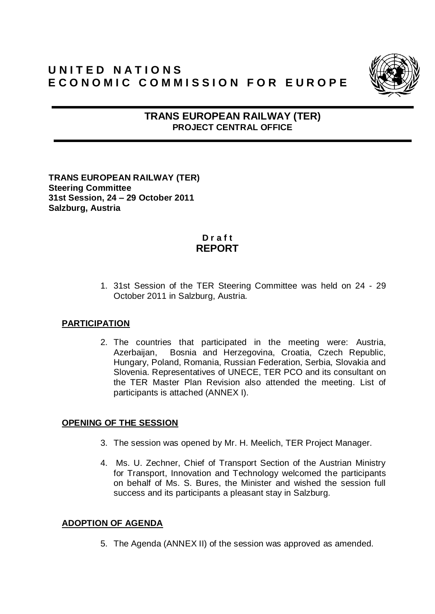# **U N I T E D N A T I O N S** E CONOMIC COMMISSION FOR EUROPE



## **TRANS EUROPEAN RAILWAY (TER) PROJECT CENTRAL OFFICE**

**TRANS EUROPEAN RAILWAY (TER) Steering Committee 31st Session, 24 – 29 October 2011 Salzburg, Austria**

## **D r a f t REPORT**

1. 31st Session of the TER Steering Committee was held on 24 - 29 October 2011 in Salzburg, Austria.

#### **PARTICIPATION**

2. The countries that participated in the meeting were: Austria, Azerbaijan, Bosnia and Herzegovina, Croatia, Czech Republic, Hungary, Poland, Romania, Russian Federation, Serbia, Slovakia and Slovenia. Representatives of UNECE, TER PCO and its consultant on the TER Master Plan Revision also attended the meeting. List of participants is attached (ANNEX I).

## **OPENING OF THE SESSION**

- 3. The session was opened by Mr. H. Meelich, TER Project Manager.
- 4. Ms. U. Zechner, Chief of Transport Section of the Austrian Ministry for Transport, Innovation and Technology welcomed the participants on behalf of Ms. S. Bures, the Minister and wished the session full success and its participants a pleasant stay in Salzburg.

## **ADOPTION OF AGENDA**

5. The Agenda (ANNEX II) of the session was approved as amended.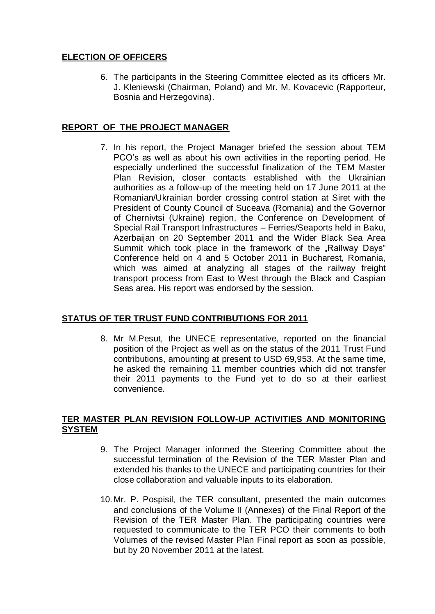## **ELECTION OF OFFICERS**

6. The participants in the Steering Committee elected as its officers Mr. J. Kleniewski (Chairman, Poland) and Mr. M. Kovacevic (Rapporteur, Bosnia and Herzegovina).

### **REPORT OF THE PROJECT MANAGER**

7. In his report, the Project Manager briefed the session about TEM PCO's as well as about his own activities in the reporting period. He especially underlined the successful finalization of the TEM Master Plan Revision, closer contacts established with the Ukrainian authorities as a follow-up of the meeting held on 17 June 2011 at the Romanian/Ukrainian border crossing control station at Siret with the President of County Council of Suceava (Romania) and the Governor of Chernivtsi (Ukraine) region, the Conference on Development of Special Rail Transport Infrastructures – Ferries/Seaports held in Baku, Azerbaijan on 20 September 2011 and the Wider Black Sea Area Summit which took place in the framework of the "Railway Days" Conference held on 4 and 5 October 2011 in Bucharest, Romania, which was aimed at analyzing all stages of the railway freight transport process from East to West through the Black and Caspian Seas area. His report was endorsed by the session.

## **STATUS OF TER TRUST FUND CONTRIBUTIONS FOR 2011**

8. Mr M.Pesut, the UNECE representative, reported on the financial position of the Project as well as on the status of the 2011 Trust Fund contributions, amounting at present to USD 69,953. At the same time, he asked the remaining 11 member countries which did not transfer their 2011 payments to the Fund yet to do so at their earliest convenience.

#### **TER MASTER PLAN REVISION FOLLOW-UP ACTIVITIES AND MONITORING SYSTEM**

- 9. The Project Manager informed the Steering Committee about the successful termination of the Revision of the TER Master Plan and extended his thanks to the UNECE and participating countries for their close collaboration and valuable inputs to its elaboration.
- 10. Mr. P. Pospisil, the TER consultant, presented the main outcomes and conclusions of the Volume II (Annexes) of the Final Report of the Revision of the TER Master Plan. The participating countries were requested to communicate to the TER PCO their comments to both Volumes of the revised Master Plan Final report as soon as possible, but by 20 November 2011 at the latest.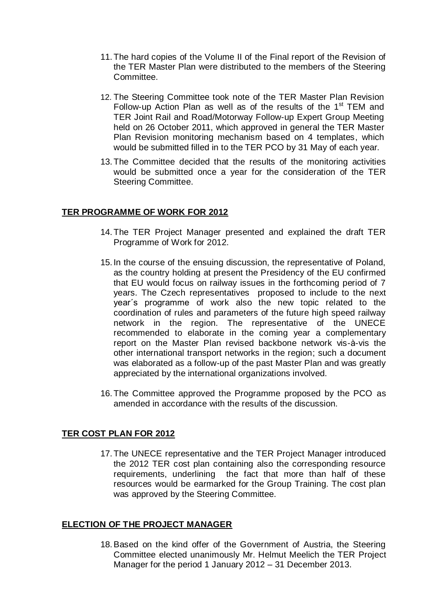- 11.The hard copies of the Volume II of the Final report of the Revision of the TER Master Plan were distributed to the members of the Steering Committee.
- 12. The Steering Committee took note of the TER Master Plan Revision Follow-up Action Plan as well as of the results of the  $1<sup>st</sup>$  TEM and TER Joint Rail and Road/Motorway Follow-up Expert Group Meeting held on 26 October 2011, which approved in general the TER Master Plan Revision monitoring mechanism based on 4 templates, which would be submitted filled in to the TER PCO by 31 May of each year.
- 13.The Committee decided that the results of the monitoring activities would be submitted once a year for the consideration of the TER Steering Committee.

#### **TER PROGRAMME OF WORK FOR 2012**

- 14.The TER Project Manager presented and explained the draft TER Programme of Work for 2012.
- 15. In the course of the ensuing discussion, the representative of Poland, as the country holding at present the Presidency of the EU confirmed that EU would focus on railway issues in the forthcoming period of 7 years. The Czech representatives proposed to include to the next year´s programme of work also the new topic related to the coordination of rules and parameters of the future high speed railway network in the region. The representative of the UNECE recommended to elaborate in the coming year a complementary report on the Master Plan revised backbone network vis-à-vis the other international transport networks in the region; such a document was elaborated as a follow-up of the past Master Plan and was greatly appreciated by the international organizations involved.
- 16.The Committee approved the Programme proposed by the PCO as amended in accordance with the results of the discussion.

#### **TER COST PLAN FOR 2012**

17.The UNECE representative and the TER Project Manager introduced the 2012 TER cost plan containing also the corresponding resource requirements, underlining the fact that more than half of these resources would be earmarked for the Group Training. The cost plan was approved by the Steering Committee.

#### **ELECTION OF THE PROJECT MANAGER**

18.Based on the kind offer of the Government of Austria, the Steering Committee elected unanimously Mr. Helmut Meelich the TER Project Manager for the period 1 January 2012 – 31 December 2013.